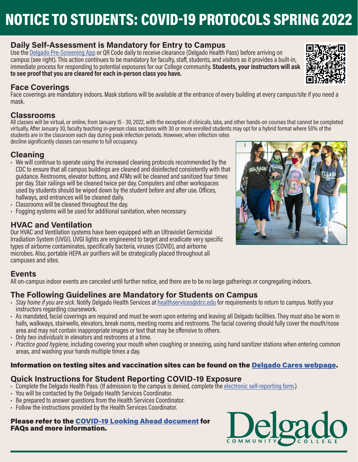# NOTICE TO STUDENTS: COVID-19 PROTOCOLS SPRING 2022

# **Daily Self-Assessment is Mandatory for Entry to Campus**

Use the [Delgado Pre-Screening App](https://www.dcc.edu/we-are-ready/mobile-app.aspx) or QR Code daily to receive clearance (Delgado Health Pass) before arriving on campus (see right). This action continues to be mandatory for faculty, staff, students, and visitors as it provides a built-in, immediate process for responding to potential exposures for our College community. **Students, your instructors will ask to see proof that you are cleared for each in-person class you have.**

## **Face Coverings**

Face coverings are mandatory indoors. Mask stations will be available at the entrance of every building at every campus/site if you need a mask.

#### **Classrooms**

All classes will be virtual, or online, from January 15 - 30, 2022, with the exception of clinicals, labs, and other hands-on courses that cannot be completed virtually. After January 30, faculty teaching in-person class sections with 30 or more enrolled students may opt for a hybrid format where 50% of the students are in the classroom each day during peak infection periods. However, when infection rates

decline significantly classes can resume to full occupancy.

## **Cleaning**

- We will continue to operate using the increased cleaning protocols recommended by the CDC to ensure that all campus buildings are cleaned and disinfected consistently with that guidance. Restrooms, elevator buttons, and ATMs will be cleaned and sanitized four times per day. Stair railings will be cleaned twice per day. Computers and other workspaces used by students should be wiped down by the student before and after use. Offices, hallways, and entrances will be cleaned daily.
- Classrooms will be cleaned throughout the day.
- Fogging systems will be used for additional sanitation, when necessary.

## **HVAC and Ventilation**

Our HVAC and Ventilation systems have been equipped with an Ultraviolet Germicidal Irradiation System (UVGI). UVGI lights are engineered to target and eradicate very specific types of airborne contaminates, specifically bacteria, viruses (COVID), and airborne microbes. Also, portable HEPA air purifiers will be strategically placed throughout all campuses and sites.

## **Events**

All on-campus indoor events are canceled until further notice, and there are to be no large gatherings or congregating indoors.

## **The Following Guidelines are Mandatory for Students on Campus**

- *• Stay home if you are sick.* Notify Delgado Health Services at [healthservices@dcc.edu](mailto:healthservices%40dcc.edu?subject=) for requirements to return to campus. Notify your instructors regarding coursework.
- As mandated, facial coverings are required and must be worn upon entering and leaving all Delgado facilities. They must also be worn in halls, walkways, stairwells, elevators, break rooms, meeting rooms and restrooms. The facial covering should fully cover the mouth/nose area and may not contain inappropriate images or text that may be offensive to others.
- Only *two individuals* in elevators and restrooms at a time.
- *• Practice good hygiene,* including covering your mouth when coughing or sneezing, using hand sanitizer stations when entering common areas, and washing your hands multiple times a day.

#### Information on testing sites and vaccination sites can be found on the [Delgado Cares webpage](https://www.dcc.edu/coronavirus/default.aspx).

## **Quick Instructions for Student Reporting COVID-19 Exposure**

- Complete the Delgado Health Pass. (If admission to the campus is denied, complete the <u>electronic self-reporting form</u>.)<br>• You will be contacted by the Delgado Health Services Coordinator.
- 
- Be prepared to answer questions from the Health Services Coordinator.
- Follow the instructions provided by the Health Services Coordinator.

#### Please refer to the [COVID-19 Looking Ahead document](https://www.dcc.edu/documents/looking-ahead.pdf#search=looking%20ahead) for FAQs and more information.